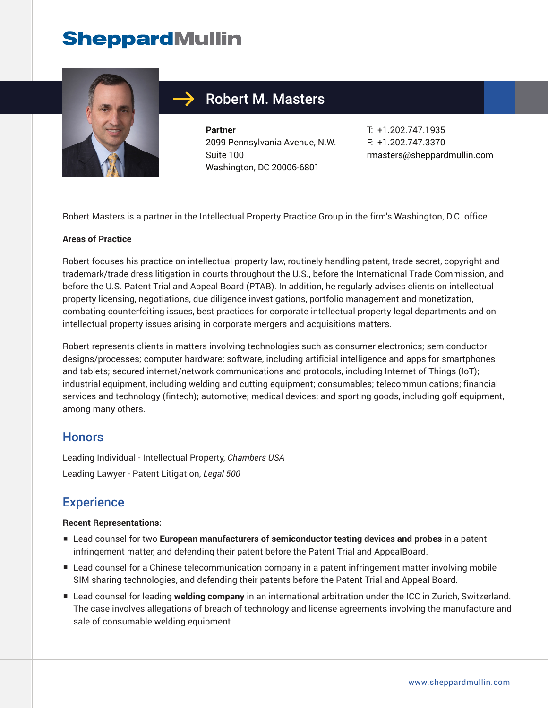

## Robert M. Masters

**Partner** 2099 Pennsylvania Avenue, N.W. Suite 100 Washington, DC 20006-6801

T: +1.202.747.1935 F: +1.202.747.3370 rmasters@sheppardmullin.com

Robert Masters is a partner in the Intellectual Property Practice Group in the firm's Washington, D.C. office.

#### **Areas of Practice**

Robert focuses his practice on intellectual property law, routinely handling patent, trade secret, copyright and trademark/trade dress litigation in courts throughout the U.S., before the International Trade Commission, and before the U.S. Patent Trial and Appeal Board (PTAB). In addition, he regularly advises clients on intellectual property licensing, negotiations, due diligence investigations, portfolio management and monetization, combating counterfeiting issues, best practices for corporate intellectual property legal departments and on intellectual property issues arising in corporate mergers and acquisitions matters.

Robert represents clients in matters involving technologies such as consumer electronics; semiconductor designs/processes; computer hardware; software, including artificial intelligence and apps for smartphones and tablets; secured internet/network communications and protocols, including Internet of Things (IoT); industrial equipment, including welding and cutting equipment; consumables; telecommunications; financial services and technology (fintech); automotive; medical devices; and sporting goods, including golf equipment, among many others.

#### **Honors**

Leading Individual - Intellectual Property, *Chambers USA* Leading Lawyer - Patent Litigation, *Legal 500*

### **Experience**

#### **Recent Representations:**

- Lead counsel for two **European manufacturers of semiconductor testing devices and probes** in a patent infringement matter, and defending their patent before the Patent Trial and AppealBoard.
- Lead counsel for a Chinese telecommunication company in a patent infringement matter involving mobile SIM sharing technologies, and defending their patents before the Patent Trial and Appeal Board.
- Lead counsel for leading **welding company** in an international arbitration under the ICC in Zurich, Switzerland. The case involves allegations of breach of technology and license agreements involving the manufacture and sale of consumable welding equipment.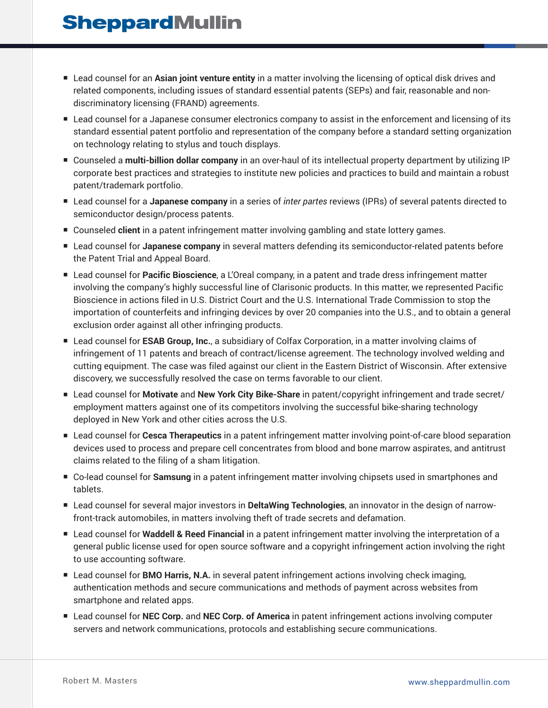- Lead counsel for an Asian joint venture entity in a matter involving the licensing of optical disk drives and related components, including issues of standard essential patents (SEPs) and fair, reasonable and nondiscriminatory licensing (FRAND) agreements.
- Lead counsel for a Japanese consumer electronics company to assist in the enforcement and licensing of its standard essential patent portfolio and representation of the company before a standard setting organization on technology relating to stylus and touch displays.
- Counseled a **multi-billion dollar company** in an over-haul of its intellectual property department by utilizing IP corporate best practices and strategies to institute new policies and practices to build and maintain a robust patent/trademark portfolio.
- Lead counsel for a Japanese company in a series of *inter partes* reviews (IPRs) of several patents directed to semiconductor design/process patents.
- Counseled **client** in a patent infringement matter involving gambling and state lottery games.
- Lead counsel for **Japanese company** in several matters defending its semiconductor-related patents before the Patent Trial and Appeal Board.
- Lead counsel for Pacific Bioscience, a L'Oreal company, in a patent and trade dress infringement matter involving the company's highly successful line of Clarisonic products. In this matter, we represented Pacific Bioscience in actions filed in U.S. District Court and the U.S. International Trade Commission to stop the importation of counterfeits and infringing devices by over 20 companies into the U.S., and to obtain a general exclusion order against all other infringing products.
- Lead counsel for **ESAB Group, Inc.**, a subsidiary of Colfax Corporation, in a matter involving claims of infringement of 11 patents and breach of contract/license agreement. The technology involved welding and cutting equipment. The case was filed against our client in the Eastern District of Wisconsin. After extensive discovery, we successfully resolved the case on terms favorable to our client.
- Lead counsel for Motivate and New York City Bike-Share in patent/copyright infringement and trade secret/ employment matters against one of its competitors involving the successful bike-sharing technology deployed in New York and other cities across the U.S.
- Lead counsel for **Cesca Therapeutics** in a patent infringement matter involving point-of-care blood separation devices used to process and prepare cell concentrates from blood and bone marrow aspirates, and antitrust claims related to the filing of a sham litigation.
- Co-lead counsel for **Samsung** in a patent infringement matter involving chipsets used in smartphones and tablets.
- Lead counsel for several major investors in **DeltaWing Technologies**, an innovator in the design of narrowfront-track automobiles, in matters involving theft of trade secrets and defamation.
- Lead counsel for **Waddell & Reed Financial** in a patent infringement matter involving the interpretation of a general public license used for open source software and a copyright infringement action involving the right to use accounting software.
- Lead counsel for **BMO Harris, N.A.** in several patent infringement actions involving check imaging, authentication methods and secure communications and methods of payment across websites from smartphone and related apps.
- Lead counsel for **NEC Corp.** and **NEC Corp. of America** in patent infringement actions involving computer servers and network communications, protocols and establishing secure communications.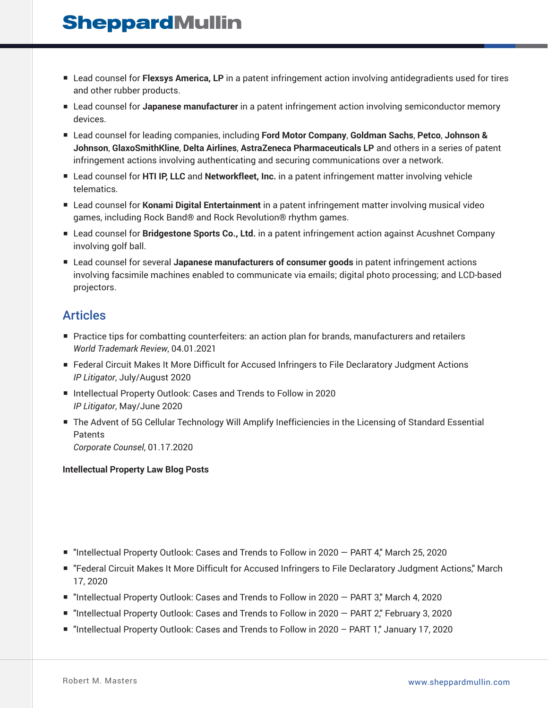- Lead counsel for **Flexsys America, LP** in a patent infringement action involving antidegradients used for tires and other rubber products.
- Lead counsel for **Japanese manufacturer** in a patent infringement action involving semiconductor memory devices.
- Lead counsel for leading companies, including **Ford Motor Company**, **Goldman Sachs**, **Petco**, **Johnson & Johnson**, **GlaxoSmithKline**, **Delta Airlines**, **AstraZeneca Pharmaceuticals LP** and others in a series of patent infringement actions involving authenticating and securing communications over a network.
- Lead counsel for **HTI IP, LLC** and **Networkfleet, Inc.** in a patent infringement matter involving vehicle telematics.
- Lead counsel for **Konami Digital Entertainment** in a patent infringement matter involving musical video games, including Rock Band® and Rock Revolution® rhythm games.
- Lead counsel for **Bridgestone Sports Co., Ltd.** in a patent infringement action against Acushnet Company involving golf ball.
- Lead counsel for several Japanese manufacturers of consumer goods in patent infringement actions involving facsimile machines enabled to communicate via emails; digital photo processing; and LCD-based projectors.

## Articles

- Practice tips for combatting counterfeiters: an action plan for brands, manufacturers and retailers *World Trademark Review*, 04.01.2021
- Federal Circuit Makes It More Difficult for Accused Infringers to File Declaratory Judgment Actions *IP Litigator*, July/August 2020
- Intellectual Property Outlook: Cases and Trends to Follow in 2020 *IP Litigator*, May/June 2020
- The Advent of 5G Cellular Technology Will Amplify Inefficiencies in the Licensing of Standard Essential Patents

*Corporate Counsel*, 01.17.2020

#### **Intellectual Property Law Blog Posts**

- "Intellectual Property Outlook: Cases and Trends to Follow in 2020 PART 4," March 25, 2020
- "Federal Circuit Makes It More Difficult for Accused Infringers to File Declaratory Judgment Actions," March 17, 2020
- "Intellectual Property Outlook: Cases and Trends to Follow in 2020 PART 3," March 4, 2020
- "Intellectual Property Outlook: Cases and Trends to Follow in 2020 PART 2," February 3, 2020
- "Intellectual Property Outlook: Cases and Trends to Follow in 2020 PART 1," January 17, 2020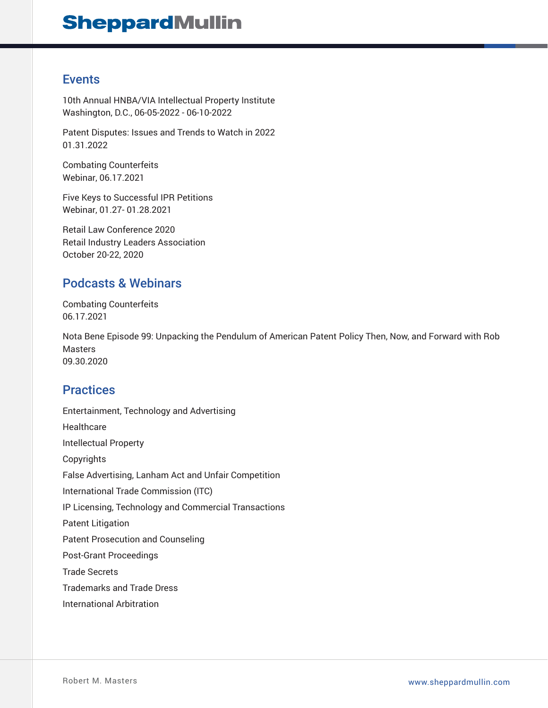## Events

10th Annual HNBA/VIA Intellectual Property Institute Washington, D.C., 06-05-2022 - 06-10-2022

Patent Disputes: Issues and Trends to Watch in 2022 01.31.2022

Combating Counterfeits Webinar, 06.17.2021

Five Keys to Successful IPR Petitions Webinar, 01.27- 01.28.2021

Retail Law Conference 2020 Retail Industry Leaders Association October 20-22, 2020

## Podcasts & Webinars

Combating Counterfeits 06.17.2021

Nota Bene Episode 99: Unpacking the Pendulum of American Patent Policy Then, Now, and Forward with Rob Masters 09.30.2020

## **Practices**

Entertainment, Technology and Advertising **Healthcare** Intellectual Property Copyrights False Advertising, Lanham Act and Unfair Competition International Trade Commission (ITC) IP Licensing, Technology and Commercial Transactions Patent Litigation Patent Prosecution and Counseling Post-Grant Proceedings Trade Secrets Trademarks and Trade Dress International Arbitration